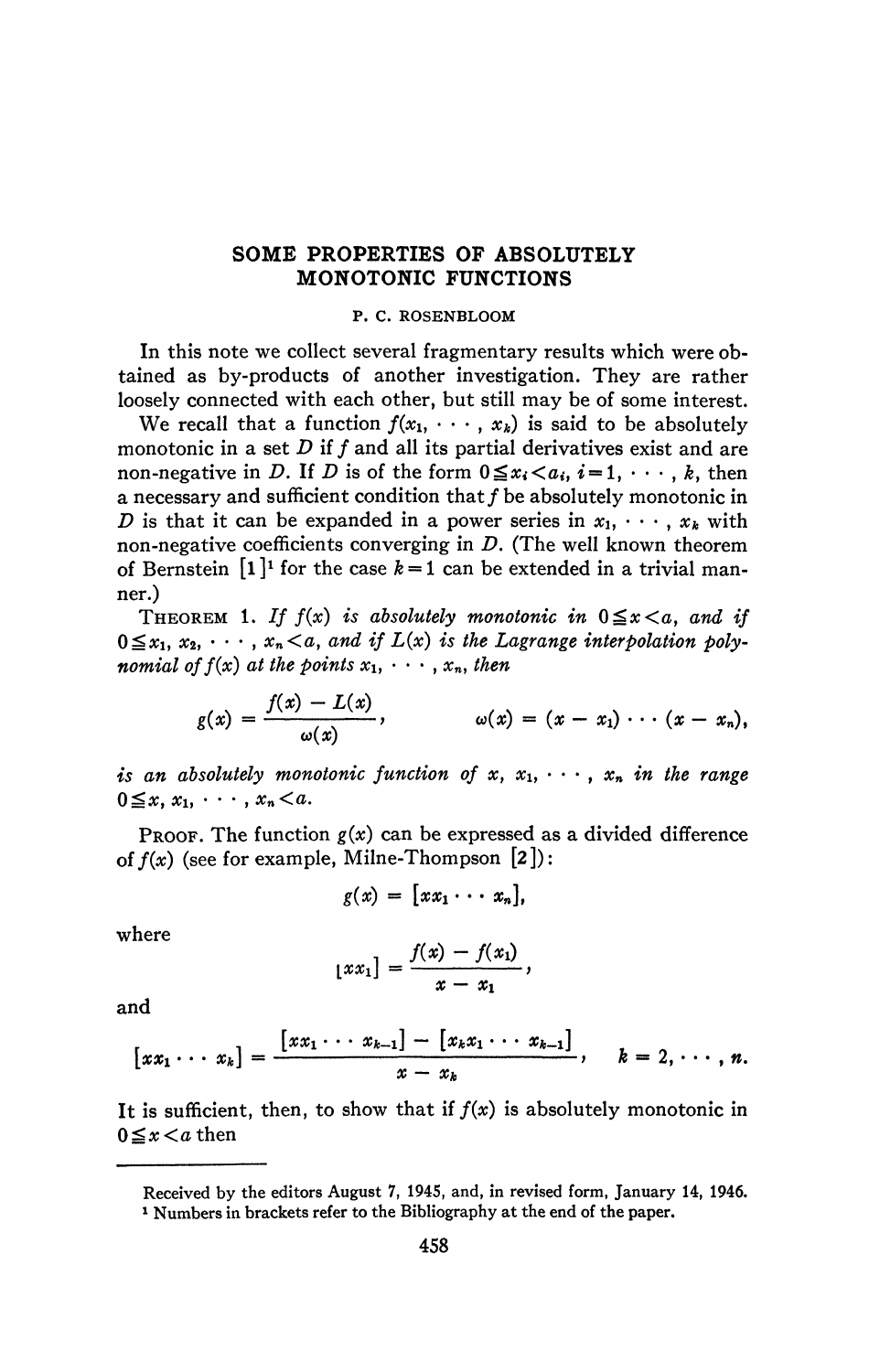## **SOME PROPERTIES OF ABSOLUTELY MONOTONIC FUNCTIONS**

## **P. C. ROSENBLOOM**

In this note we collect several fragmentary results which were obtained as by-products of another investigation. They are rather loosely connected with each other, but still may be of some interest.

We recall that a function  $f(x_1, \dots, x_k)$  is said to be absolutely monotonic in a set D if f and all its partial derivatives exist and are non-negative in *D*. If *D* is of the form  $0 \le x_i < a_i$ ,  $i = 1, \dots, k$ , then a necessary and sufficient condition that  $f$  be absolutely monotonic in *D* is that it can be expanded in a power series in  $x_1, \dots, x_k$  with non-negative coefficients converging in *D.* (The well known theorem of Bernstein  $[1]$ <sup>1</sup> for the case  $k = 1$  can be extended in a trivial manner.)

THEOREM 1. If  $f(x)$  is absolutely monotonic in  $0 \le x \le a$ , and if  $0 \le x_1, x_2, \cdots, x_n \le a$ , and if  $L(x)$  is the Lagrange interpolation poly*nomial of f(x) at the points*  $x_1, \cdots, x_n$ , then

$$
g(x) = \frac{f(x) - L(x)}{\omega(x)}, \qquad \omega(x) = (x - x_1) \cdots (x - x_n),
$$

*is an absolutely monotonic function of*  $x, x_1, \cdots, x_n$  *in the range*  $0 \leq x, x_1, \cdots, x_n \leq a.$ 

PROOF. The function  $g(x)$  can be expressed as a divided difference *of*  $f(x)$  (see for example, Milne-Thompson  $[2]$ ):

$$
g(x) = [xx_1 \cdots x_n],
$$

where

$$
[xx_1] = \frac{f(x) - f(x_1)}{x - x_1},
$$

and

$$
[xx_1\cdots x_k]=\frac{[xx_1\cdots x_{k-1}]-[x_kx_1\cdots x_{k-1}]}{x-x_k},\quad k=2,\cdots,n.
$$

It is sufficient, then, to show that if  $f(x)$  is absolutely monotonic in  $0 \leq x \leq a$  then

**Received by the editors August 7, 1945, and, in revised form, January 14, 1946. 1 Numbers in brackets refer to the Bibliography at the end of the paper.**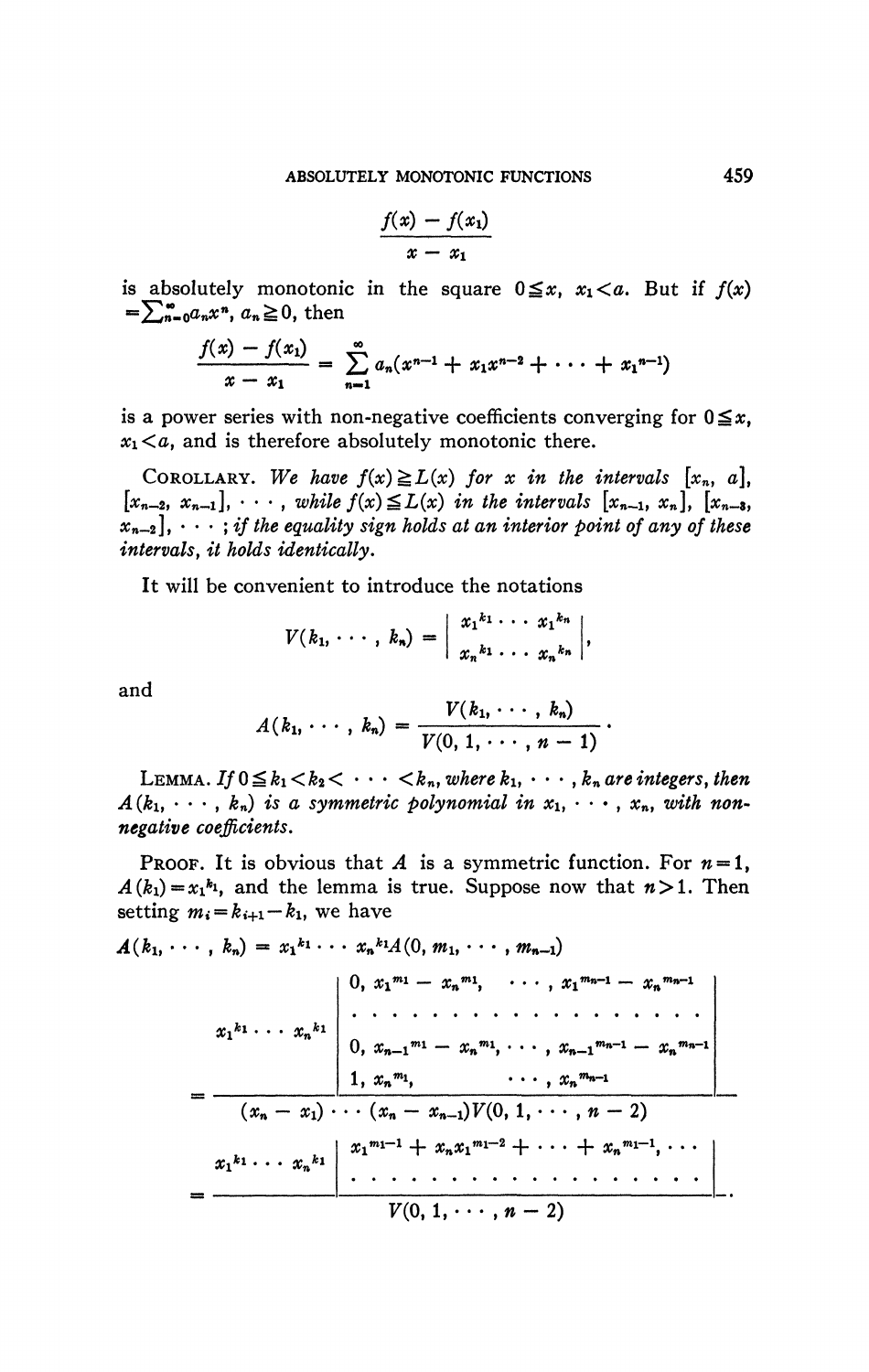$$
\frac{f(x)-f(x_1)}{x-x_1}
$$

is absolutely monotonic in the square  $0 \le x$ ,  $x_1 < a$ . But if  $f(x)$  $=\sum_{n=0}^{\infty}a_nx^n, a_n\geq 0$ , then

$$
\frac{f(x)-f(x_1)}{x-x_1} = \sum_{n=1}^{\infty} a_n(x^{n-1}+x_1x^{n-2}+\cdots+x_1^{n-1})
$$

is a power series with non-negative coefficients converging for  $0 \le x$ ,  $x_1 < a$ , and is therefore absolutely monotonic there.

COROLLARY. We have  $f(x) \ge L(x)$  for x in the intervals  $[x_n, a]$ ,  $[x_{n-2}, x_{n-1}], \cdots$ , while  $f(x) \leq L(x)$  in the intervals  $[x_{n-1}, x_n], [x_{n-3},$  $x_{n-2}$ ,  $\cdots$ ; if the equality sign holds at an interior point of any of these intervals, it holds identically.

It will be convenient to introduce the notations

$$
V(k_1,\cdots,k_n)=\left|\begin{array}{l}x_1^{k_1}\cdots x_1^{k_n}\\x_n^{k_1}\cdots x_n^{k_n}\end{array}\right|,
$$

and

$$
A(k_1,\cdots,k_n)=\frac{V(k_1,\cdots,k_n)}{V(0,1,\cdots,n-1)}.
$$

LEMMA. If  $0 \leq k_1 < k_2 < \cdots < k_n$ , where  $k_1, \cdots, k_n$  are integers, then  $A(k_1, \dots, k_n)$  is a symmetric polynomial in  $x_1, \dots, x_n$ , with nonnegative coefficients.

**PROOF.** It is obvious that A is a symmetric function. For  $n=1$ ,  $A(k_1) = x_1^{k_1}$ , and the lemma is true. Suppose now that  $n > 1$ . Then setting  $m_i = k_{i+1} - k_1$ , we have

$$
A(k_1, \dots, k_n) = x_1^{k_1} \cdots x_n^{k_1} A(0, m_1, \dots, m_{n-1})
$$
  
\n
$$
x_1^{k_1} \cdots x_n^{k_1}
$$
\n
$$
\begin{array}{c|cccc}\n0, & x_1^{m_1} - x_n^{m_1}, & \dots, x_1^{m_{n-1}} - x_n^{m_{n-1}} \\
\vdots & \vdots & \ddots & \vdots \\
0, & x_{n-1}^{m_1} - x_n^{m_1}, & \dots, x_{n-1}^{m_{n-1}} - x_n^{m_{n-1}} \\
\hline\n1, & x_n^{m_1}, & \dots, x_n^{m_{n-1}} \\
\hline\n(x_n - x_1) \cdots (x_n - x_{n-1}) V(0, 1, \dots, n-2) \\
\hline\nx_1^{k_1} \cdots x_n^{k_1} & x_1^{m_1-1} + x_n x_1^{m_1-2} + \cdots + x_n^{m_1-1}, \dots \\
\hline\nV(0, 1, \dots, n-2)\n\end{array}
$$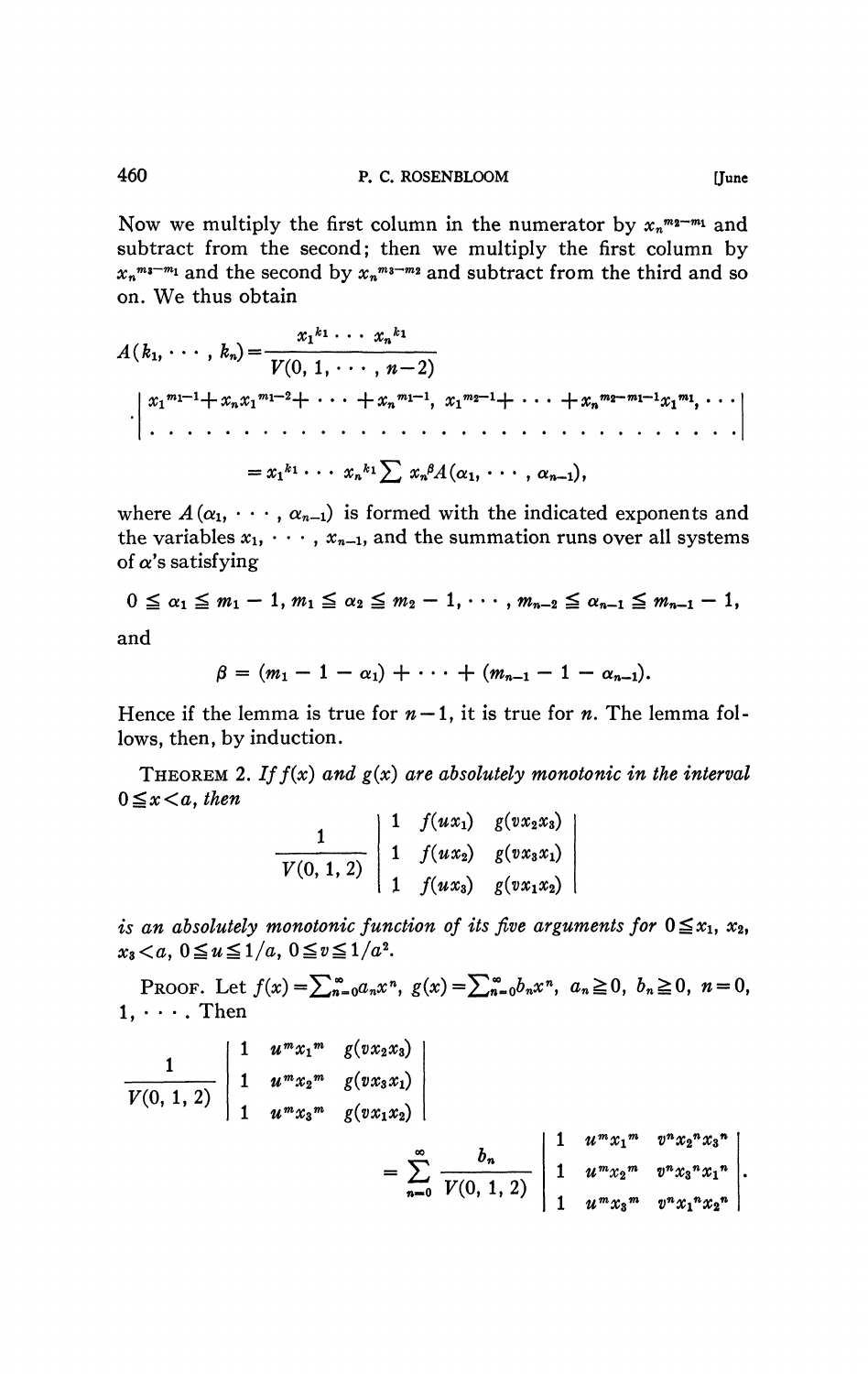Now we multiply the first column in the numerator by  $x_n^{m_2-m_1}$  and subtract from the second; then we multiply the first column by  $x_n^{m_1-m_1}$  and the second by  $x_n^{m_2-m_2}$  and subtract from the third and so on. We thus obtain

$$
A(k_1, \dots, k_n) = \frac{x_1^{k_1} \dots x_n^{k_1}}{V(0, 1, \dots, n-2)}
$$
  
\n
$$
\begin{aligned}\nx_1^{m_1-1} + x_n x_1^{m_1-2} + \dots + x_n^{m_1-1}, & x_1^{m_2-1} + \dots + x_n^{m_2-m_1-1} x_1^{m_1}, \dots \\
&\vdots \\
&= x_1^{k_1} \dots x_n^{k_1} \sum x_n^{\beta} A(\alpha_1, \dots, \alpha_{n-1}),\n\end{aligned}
$$

where  $A(\alpha_1, \cdots, \alpha_{n-1})$  is formed with the indicated exponents and the variables  $x_1, \dots, x_{n-1}$ , and the summation runs over all systems of  $\alpha$ 's satisfying

$$
0 \leq \alpha_1 \leq m_1-1, m_1 \leq \alpha_2 \leq m_2-1, \cdots, m_{n-2} \leq \alpha_{n-1} \leq m_{n-1}-1,
$$

and

$$
\beta = (m_1 - 1 - \alpha_1) + \cdots + (m_{n-1} - 1 - \alpha_{n-1}).
$$

Hence if the lemma is true for  $n-1$ , it is true for *n*. The lemma follows, then, by induction.

THEOREM 2. If  $f(x)$  and  $g(x)$  are absolutely monotonic in the interval  $0 \leq x \leq a$ , then

$$
\frac{1}{V(0,1,2)}\begin{vmatrix}1 & f(ux_1) & g(vx_2x_3) \\ 1 & f(ux_2) & g(vx_3x_1) \\ 1 & f(ux_3) & g(vx_1x_2)\end{vmatrix}
$$

is an absolutely monotonic function of its five arguments for  $0 \le x_1$ ,  $x_2$ ,  $x_3 < a$ ,  $0 \le u \le 1/a$ ,  $0 \le v \le 1/a^2$ .

PROOF. Let  $f(x) = \sum_{n=0}^{\infty} a_n x^n$ ,  $g(x) = \sum_{n=0}^{\infty} b_n x^n$ ,  $a_n \ge 0$ ,  $b_n \ge 0$ ,  $n = 0$ ,  $1, \cdots$ . Then

$$
\frac{1}{V(0, 1, 2)} \begin{vmatrix} 1 & u^{m}x_{1}^{m} & g(vx_{2}x_{3}) \\ 1 & u^{m}x_{2}^{m} & g(vx_{3}x_{1}) \\ 1 & u^{m}x_{3}^{m} & g(vx_{1}x_{2}) \end{vmatrix}
$$
  
= 
$$
\sum_{n=0}^{\infty} \frac{b_{n}}{V(0, 1, 2)} \begin{vmatrix} 1 & u^{m}x_{1}^{m} & v^{n}x_{2}^{n}x_{3}^{n} \\ 1 & u^{m}x_{2}^{m} & v^{n}x_{3}^{n}x_{1}^{n} \\ 1 & u^{m}x_{3}^{m} & v^{n}x_{1}^{n}x_{2}^{n} \end{vmatrix}.
$$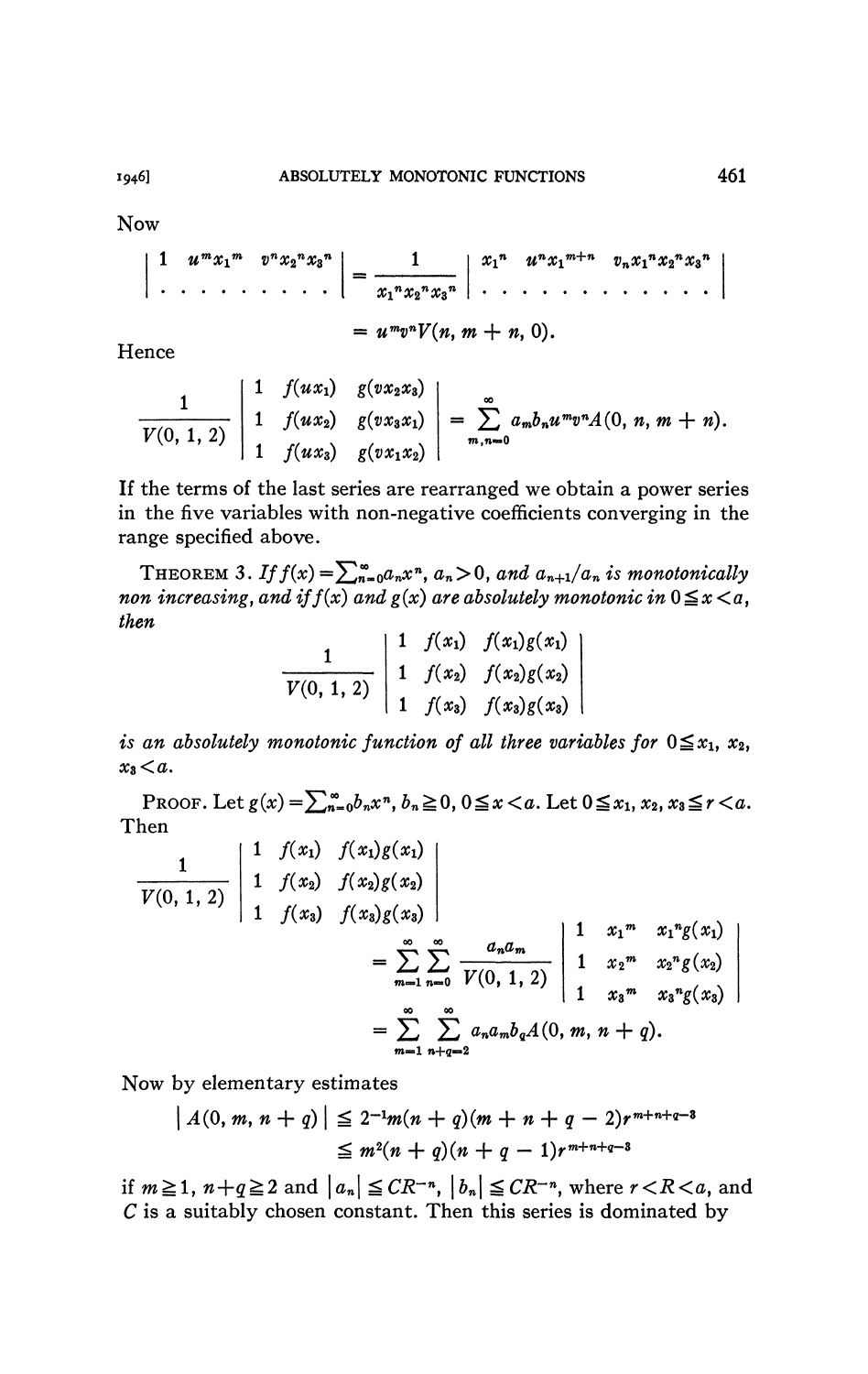**Now** 

$$
\left|\begin{array}{ccc} 1 & u^{m}x_{1}^{m} & v^{n}x_{2}^{n}x_{3}^{n} \\ \cdot & \cdot & \cdot & \cdot \\ \cdot & \cdot & \cdot & \cdot \\ \cdot & \cdot & \cdot & \cdot \\ \cdot & \cdot & \cdot & \cdot \\ \cdot & \cdot & \cdot & \cdot \\ \cdot & \cdot & \cdot & \cdot \\ \cdot & \cdot & \cdot & \cdot \\ \cdot & \cdot & \cdot & \cdot \\ \cdot & \cdot & \cdot & \cdot \\ \cdot & \cdot & \cdot & \cdot \\ \cdot & \cdot & \cdot & \cdot \\ \cdot & \cdot & \cdot & \cdot \\ \cdot & \cdot & \cdot & \cdot \\ \cdot & \cdot & \cdot & \cdot \\ \cdot & \cdot & \cdot & \cdot \\ \cdot & \cdot & \cdot & \cdot \\ \cdot & \cdot & \cdot & \cdot \\ \cdot & \cdot & \cdot & \cdot \\ \cdot & \cdot & \cdot & \cdot \\ \cdot & \cdot & \cdot & \cdot \\ \cdot & \cdot & \cdot & \cdot \\ \cdot & \cdot & \cdot & \cdot \\ \cdot & \cdot & \cdot & \cdot \\ \cdot & \cdot & \cdot & \cdot \\ \cdot & \cdot & \cdot & \cdot \\ \cdot & \cdot & \cdot & \cdot \\ \cdot & \cdot & \cdot & \cdot \\ \cdot & \cdot & \cdot & \cdot \\ \cdot & \cdot & \cdot & \cdot \\ \cdot & \cdot & \cdot & \cdot \\ \cdot & \cdot & \cdot & \cdot \\ \cdot & \cdot & \cdot & \cdot \\ \cdot & \cdot & \cdot & \cdot \\ \cdot & \cdot & \cdot & \cdot \\ \cdot & \cdot & \cdot & \cdot \\ \cdot & \cdot & \cdot & \cdot \\ \cdot & \cdot & \cdot & \cdot \\ \cdot & \cdot & \cdot & \cdot \\ \cdot & \cdot & \cdot & \cdot \\ \cdot & \cdot & \cdot & \cdot \\ \cdot & \cdot & \cdot & \cdot \\ \cdot & \cdot & \cdot & \cdot \\ \cdot & \cdot & \cdot & \cdot \\ \cdot & \cdot & \cdot & \cdot \\ \cdot & \cdot & \cdot & \cdot \\ \cdot & \cdot & \cdot & \cdot \\ \cdot & \cdot & \cdot & \cdot \\ \cdot & \cdot & \cdot & \cdot & \cdot \\ \cdot & \cdot & \cdot & \cdot & \cdot \\ \cdot & \cdot & \cdot & \cdot & \cdot \\ \cdot & \cdot & \cdot & \cdot & \cdot \\ \cdot & \cdot & \cdot & \cdot & \cdot \\ \cdot & \cdot & \cdot & \cdot & \cdot \\ \cdot & \cdot & \cdot & \cdot & \cdot \\ \cdot & \cdot & \cdot & \cdot & \cdot \\ \cdot & \cdot & \cdot & \cdot & \cdot \\ \cdot & \cdot & \cdot & \cdot & \cdot \\ \cdot &
$$

Hence

$$
\frac{1}{V(0, 1, 2)}\begin{vmatrix}1 & f(ux_1) & g(vx_2x_3) \ 1 & f(ux_2) & g(vx_3x_1) \ 1 & f(ux_3) & g(vx_1x_2)\end{vmatrix}=\sum_{m,n=0}^{\infty}a_m b_n u^m v^n A(0, n, m+n).
$$

If the terms of the last series are rearranged we obtain a power series in the five variables with non-negative coefficients converging in the range specified above.

THEOREM 3. If  $f(x) = \sum_{n=0}^{\infty} a_n x^n$ ,  $a_n > 0$ , and  $a_{n+1}/a_n$  is monotonically non increasing, and if  $f(x)$  and  $g(x)$  are absolutely monotonic in  $0 \le x < a$ , then

$$
\frac{1}{V(0, 1, 2)} \begin{vmatrix} 1 & f(x_1) & f(x_1)g(x_1) \\ 1 & f(x_2) & f(x_2)g(x_2) \\ 1 & f(x_3) & f(x_3)g(x_3) \end{vmatrix}
$$

is an absolutely monotonic function of all three variables for  $0 \le x_1$ ,  $x_2$ ,  $x_3 < a$ .

PROOF. Let  $g(x) = \sum_{n=0}^{\infty} b_n x^n$ ,  $b_n \ge 0$ ,  $0 \le x < a$ . Let  $0 \le x_1, x_2, x_3 \le r < a$ . Then  $\overline{u}$   $\overline{v}$   $\overline{u}$   $\overline{v}$   $\overline{v}$ 

$$
\frac{1}{V(0, 1, 2)} \begin{vmatrix} 1 & f(x_1) & f(x_1)g(x_1) \\ 1 & f(x_2) & f(x_2)g(x_2) \\ 1 & f(x_3) & f(x_3)g(x_3) \end{vmatrix}
$$
  
= 
$$
\sum_{m=1}^{\infty} \sum_{n=0}^{\infty} \frac{a_n a_m}{V(0, 1, 2)} \begin{vmatrix} 1 & x_1^m & x_1^n g(x_1) \\ 1 & x_2^m & x_2^n g(x_2) \\ 1 & x_3^m & x_3^n g(x_3) \end{vmatrix}
$$
  
= 
$$
\sum_{m=1}^{\infty} \sum_{n+q=2}^{\infty} a_n a_m b_q A(0, m, n + q).
$$

Now by elementary estimates

$$
| A(0, m, n + q) | \leq 2^{-1} m(n + q)(m + n + q - 2)r^{m+n+q-3}
$$
  
 
$$
\leq m^2(n + q)(n + q - 1)r^{m+n+q-3}
$$

if  $m \ge 1$ ,  $n+q \ge 2$  and  $|a_n| \le CR^{-n}$ ,  $|b_n| \le CR^{-n}$ , where  $r < R < a$ , and  $C$  is a suitably chosen constant. Then this series is dominated by